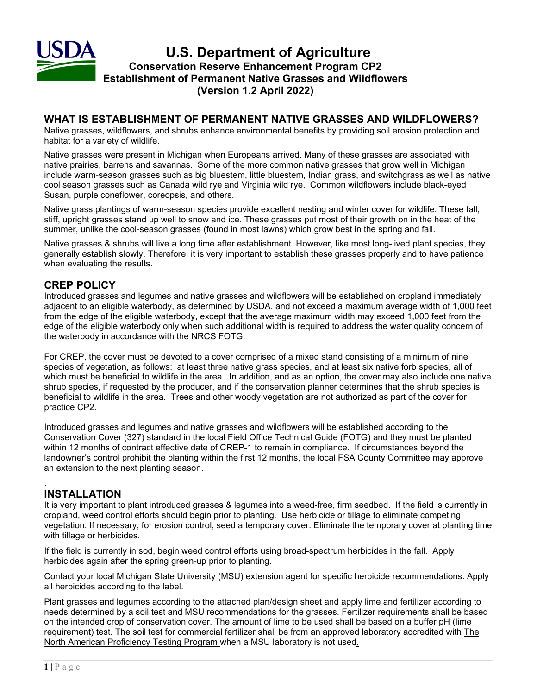

## **WHAT IS ESTABLISHMENT OF PERMANENT NATIVE GRASSES AND WILDFLOWERS?**

Native grasses, wildflowers, and shrubs enhance environmental benefits by providing soil erosion protection and habitat for a variety of wildlife.

Native grasses were present in Michigan when Europeans arrived. Many of these grasses are associated with native prairies, barrens and savannas. Some of the more common native grasses that grow well in Michigan include warm-season grasses such as big bluestem, little bluestem, Indian grass, and switchgrass as well as native cool season grasses such as Canada wild rye and Virginia wild rye. Common wildflowers include black-eyed Susan, purple coneflower, coreopsis, and others.

Native grass plantings of warm-season species provide excellent nesting and winter cover for wildlife. These tall, stiff, upright grasses stand up well to snow and ice. These grasses put most of their growth on in the heat of the summer, unlike the cool-season grasses (found in most lawns) which grow best in the spring and fall.

Native grasses & shrubs will live a long time after establishment. However, like most long-lived plant species, they generally establish slowly. Therefore, it is very important to establish these grasses properly and to have patience when evaluating the results.

# **CREP POLICY**

Introduced grasses and legumes and native grasses and wildflowers will be established on cropland immediately adjacent to an eligible waterbody, as determined by USDA, and not exceed a maximum average width of 1,000 feet from the edge of the eligible waterbody, except that the average maximum width may exceed 1,000 feet from the edge of the eligible waterbody only when such additional width is required to address the water quality concern of the waterbody in accordance with the NRCS FOTG.

For CREP, the cover must be devoted to a cover comprised of a mixed stand consisting of a minimum of nine species of vegetation, as follows: at least three native grass species, and at least six native forb species, all of which must be beneficial to wildlife in the area. In addition, and as an option, the cover may also include one native shrub species, if requested by the producer, and if the conservation planner determines that the shrub species is beneficial to wildlife in the area. Trees and other woody vegetation are not authorized as part of the cover for practice CP2.

Introduced grasses and legumes and native grasses and wildflowers will be established according to the Conservation Cover (327) standard in the local Field Office Technical Guide (FOTG) and they must be planted within 12 months of contract effective date of CREP-1 to remain in compliance. If circumstances beyond the landowner's control prohibit the planting within the first 12 months, the local FSA County Committee may approve an extension to the next planting season.

### . **INSTALLATION**

It is very important to plant introduced grasses & legumes into a weed-free, firm seedbed. If the field is currently in cropland, weed control efforts should begin prior to planting. Use herbicide or tillage to eliminate competing vegetation. If necessary, for erosion control, seed a temporary cover. Eliminate the temporary cover at planting time with tillage or herbicides.

If the field is currently in sod, begin weed control efforts using broad-spectrum herbicides in the fall. Apply herbicides again after the spring green-up prior to planting.

Contact your local Michigan State University (MSU) extension agent for specific herbicide recommendations. Apply all herbicides according to the label.

Plant grasses and legumes according to the attached plan/design sheet and apply lime and fertilizer according to needs determined by a soil test and MSU recommendations for the grasses. Fertilizer requirements shall be based on the intended crop of conservation cover. The amount of lime to be used shall be based on a buffer pH (lime requirement) test. The soil test for commercial fertilizer shall be from an approved laboratory accredited with The North American Proficiency Testing Program when a MSU laboratory is not used.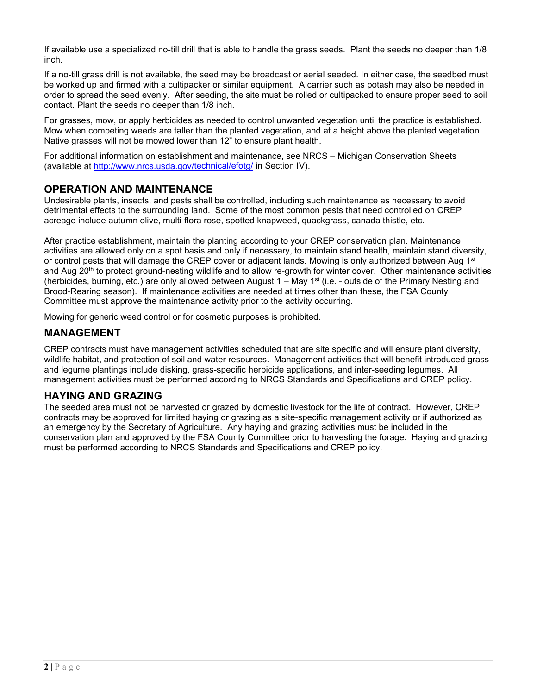If available use a specialized no-till drill that is able to handle the grass seeds. Plant the seeds no deeper than 1/8 inch.

If a no-till grass drill is not available, the seed may be broadcast or aerial seeded. In either case, the seedbed must be worked up and firmed with a cultipacker or similar equipment. A carrier such as potash may also be needed in order to spread the seed evenly. After seeding, the site must be rolled or cultipacked to ensure proper seed to soil contact. Plant the seeds no deeper than 1/8 inch.

For grasses, mow, or apply herbicides as needed to control unwanted vegetation until the practice is established. Mow when competing weeds are taller than the planted vegetation, and at a height above the planted vegetation. Native grasses will not be mowed lower than 12" to ensure plant health.

For additional information on establishment and maintenance, see NRCS – Michigan Conservation Sheets (available at [http://www.nrcs.usda.gov/t](http://www.nrcs.usda.gov/)echnical/efotg/ in Section IV).

## **OPERATION AND MAINTENANCE**

Undesirable plants, insects, and pests shall be controlled, including such maintenance as necessary to avoid detrimental effects to the surrounding land. Some of the most common pests that need controlled on CREP acreage include autumn olive, multi-flora rose, spotted knapweed, quackgrass, canada thistle, etc.

After practice establishment, maintain the planting according to your CREP conservation plan. Maintenance activities are allowed only on a spot basis and only if necessary, to maintain stand health, maintain stand diversity, or control pests that will damage the CREP cover or adjacent lands. Mowing is only authorized between Aug 1st and Aug 20<sup>th</sup> to protect ground-nesting wildlife and to allow re-growth for winter cover. Other maintenance activities (herbicides, burning, etc.) are only allowed between August 1 – May 1st (i.e. - outside of the Primary Nesting and Brood-Rearing season). If maintenance activities are needed at times other than these, the FSA County Committee must approve the maintenance activity prior to the activity occurring.

Mowing for generic weed control or for cosmetic purposes is prohibited.

## **MANAGEMENT**

CREP contracts must have management activities scheduled that are site specific and will ensure plant diversity, wildlife habitat, and protection of soil and water resources. Management activities that will benefit introduced grass and legume plantings include disking, grass-specific herbicide applications, and inter-seeding legumes. All management activities must be performed according to NRCS Standards and Specifications and CREP policy.

# **HAYING AND GRAZING**

The seeded area must not be harvested or grazed by domestic livestock for the life of contract. However, CREP contracts may be approved for limited haying or grazing as a site-specific management activity or if authorized as an emergency by the Secretary of Agriculture. Any haying and grazing activities must be included in the conservation plan and approved by the FSA County Committee prior to harvesting the forage. Haying and grazing must be performed according to NRCS Standards and Specifications and CREP policy.